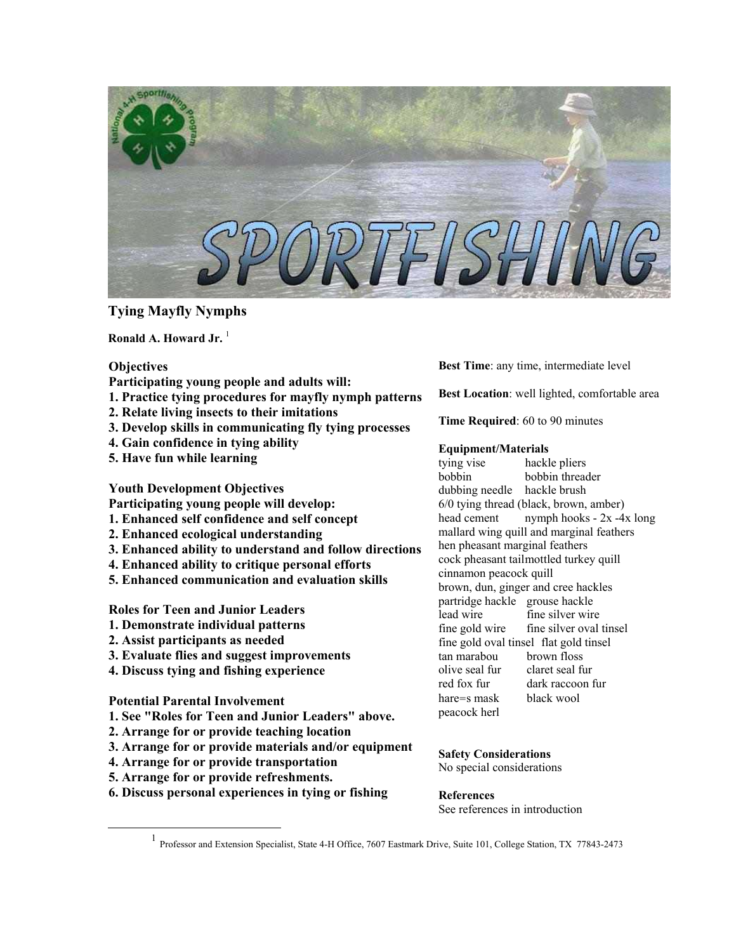

# **Tying Mayfly Nymphs**

Ronald A. Howard Jr.<sup>[1](#page-0-0)</sup>

# **Objectives**

- **Participating young people and adults will:**
- **1. Practice tying procedures for mayfly nymph patterns**
- **2. Relate living insects to their imitations**
- **3. Develop skills in communicating fly tying processes**
- **4. Gain confidence in tying ability**
- **5. Have fun while learning**

**Youth Development Objectives** 

- **Participating young people will develop:**
- **1. Enhanced self confidence and self concept**
- **2. Enhanced ecological understanding**
- **3. Enhanced ability to understand and follow directions**
- **4. Enhanced ability to critique personal efforts**
- **5. Enhanced communication and evaluation skills**

**Roles for Teen and Junior Leaders** 

- **1. Demonstrate individual patterns**
- **2. Assist participants as needed**
- **3. Evaluate flies and suggest improvements**
- **4. Discuss tying and fishing experience**

# **Potential Parental Involvement**

- **1. See "Roles for Teen and Junior Leaders" above.**
- **2. Arrange for or provide teaching location**
- **3. Arrange for or provide materials and/or equipment**
- **4. Arrange for or provide transportation**
- **5. Arrange for or provide refreshments.**
- **6. Discuss personal experiences in tying or fishing**

**Best Time**: any time, intermediate level

**Best Location**: well lighted, comfortable area

**Time Required**: 60 to 90 minutes

# **Equipment/Materials**

tying vise hackle pliers bobbin bobbin threader dubbing needle hackle brush 6/0 tying thread (black, brown, amber) head cement nymph hooks - 2x -4x long mallard wing quill and marginal feathers hen pheasant marginal feathers cock pheasant tailmottled turkey quill cinnamon peacock quill brown, dun, ginger and cree hackles partridge hackle grouse hackle lead wire fine silver wire fine gold wire fine silver oval tinsel fine gold oval tinsel flat gold tinsel tan marabou brown floss olive seal fur claret seal fur red fox fur dark raccoon fur hare=s mask black wool peacock herl

### **Safety Considerations** No special considerations

**References**

See references in introduction

<span id="page-0-0"></span><sup>&</sup>lt;u>1</u> Professor and Extension Specialist, State 4-H Office, 7607 Eastmark Drive, Suite 101, College Station, TX 77843-2473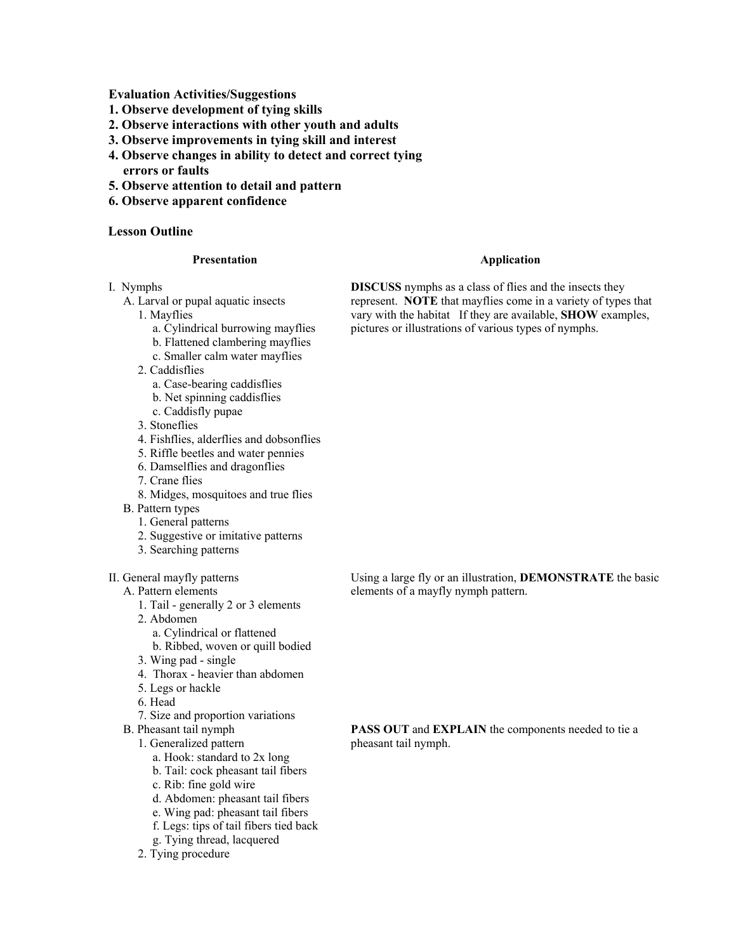**Evaluation Activities/Suggestions** 

- **1. Observe development of tying skills**
- **2. Observe interactions with other youth and adults**
- **3. Observe improvements in tying skill and interest**
- **4. Observe changes in ability to detect and correct tying errors or faults**
- **5. Observe attention to detail and pattern**
- **6. Observe apparent confidence**

# **Lesson Outline**

#### **Presentation**

- I. Nymphs
	- A. Larval or pupal aquatic insects
		- 1. Mayflies
			- a. Cylindrical burrowing mayflies
			- b. Flattened clambering mayflies
			- c. Smaller calm water mayflies
		- 2. Caddisflies
			- a. Case-bearing caddisflies
			- b. Net spinning caddisflies
			- c. Caddisfly pupae
		- 3. Stoneflies
		- 4. Fishflies, alderflies and dobsonflies
		- 5. Riffle beetles and water pennies
		- 6. Damselflies and dragonflies
		- 7. Crane flies
		- 8. Midges, mosquitoes and true flies
	- B. Pattern types
		- 1. General patterns
		- 2. Suggestive or imitative patterns
		- 3. Searching patterns
- II. General mayfly patterns
	- A. Pattern elements
		- 1. Tail generally 2 or 3 elements
		- 2. Abdomen
			- a. Cylindrical or flattened
			- b. Ribbed, woven or quill bodied
		- 3. Wing pad single
		- 4. Thorax heavier than abdomen
		- 5. Legs or hackle
		- 6. Head
		- 7. Size and proportion variations
	- B. Pheasant tail nymph
		- 1. Generalized pattern
			- a. Hook: standard to 2x long
			- b. Tail: cock pheasant tail fibers
			- c. Rib: fine gold wire
			- d. Abdomen: pheasant tail fibers
			- e. Wing pad: pheasant tail fibers
			- f. Legs: tips of tail fibers tied back
			- g. Tying thread, lacquered
		- 2. Tying procedure

### **Application**

**DISCUSS** nymphs as a class of flies and the insects they represent. **NOTE** that mayflies come in a variety of types that vary with the habitat If they are available, **SHOW** examples, pictures or illustrations of various types of nymphs.

Using a large fly or an illustration, **DEMONSTRATE** the basic elements of a mayfly nymph pattern.

**PASS OUT** and **EXPLAIN** the components needed to tie a pheasant tail nymph.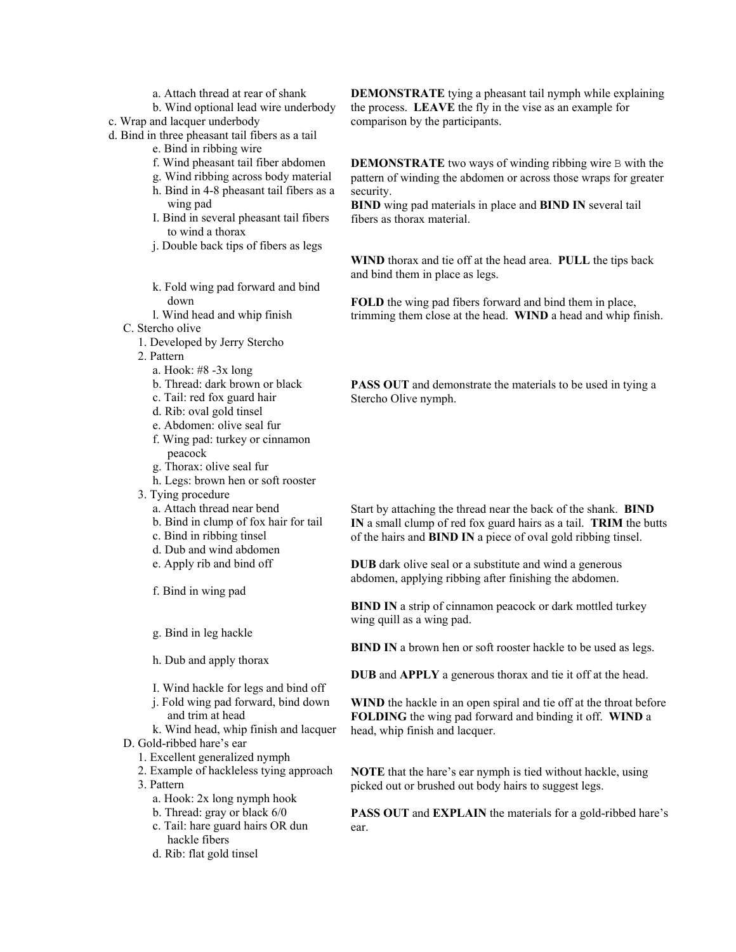- a. Attach thread at rear of shank
- b. Wind optional lead wire underbody
- c. Wrap and lacquer underbody
- d. Bind in three pheasant tail fibers as a tail
	- e. Bind in ribbing wire
	- f. Wind pheasant tail fiber abdomen
	- g. Wind ribbing across body material
	- h. Bind in 4-8 pheasant tail fibers as a wing pad
	- I. Bind in several pheasant tail fibers to wind a thorax
	- j. Double back tips of fibers as legs
	- k. Fold wing pad forward and bind down
	- l. Wind head and whip finish
	- C. Stercho olive
		- 1. Developed by Jerry Stercho
		- 2. Pattern
			- a. Hook: #8 -3x long
			- b. Thread: dark brown or black
			- c. Tail: red fox guard hair
			- d. Rib: oval gold tinsel
			- e. Abdomen: olive seal fur
			- f. Wing pad: turkey or cinnamon peacock
			- g. Thorax: olive seal fur
			- h. Legs: brown hen or soft rooster
		- 3. Tying procedure
			- a. Attach thread near bend
			- b. Bind in clump of fox hair for tail
			- c. Bind in ribbing tinsel
			- d. Dub and wind abdomen
			- e. Apply rib and bind off
			- f. Bind in wing pad
			- g. Bind in leg hackle
			- h. Dub and apply thorax
			- I. Wind hackle for legs and bind off
			- j. Fold wing pad forward, bind down and trim at head
	- k. Wind head, whip finish and lacquer D. Gold-ribbed hare's ear
		- 1. Excellent generalized nymph
		- 2. Example of hackleless tying approach 3. Pattern
			- a. Hook: 2x long nymph hook
			- b. Thread: gray or black 6/0
			- c. Tail: hare guard hairs OR dun hackle fibers
			- d. Rib: flat gold tinsel

**DEMONSTRATE** tying a pheasant tail nymph while explaining the process. **LEAVE** the fly in the vise as an example for comparison by the participants.

**DEMONSTRATE** two ways of winding ribbing wire B with the pattern of winding the abdomen or across those wraps for greater security.

**BIND** wing pad materials in place and **BIND IN** several tail fibers as thorax material.

**WIND** thorax and tie off at the head area. **PULL** the tips back and bind them in place as legs.

**FOLD** the wing pad fibers forward and bind them in place, trimming them close at the head. **WIND** a head and whip finish.

**PASS OUT** and demonstrate the materials to be used in tying a Stercho Olive nymph.

Start by attaching the thread near the back of the shank. **BIND IN** a small clump of red fox guard hairs as a tail. **TRIM** the butts of the hairs and **BIND IN** a piece of oval gold ribbing tinsel.

**DUB** dark olive seal or a substitute and wind a generous abdomen, applying ribbing after finishing the abdomen.

**BIND IN** a strip of cinnamon peacock or dark mottled turkey wing quill as a wing pad.

**BIND IN** a brown hen or soft rooster hackle to be used as legs.

**DUB** and **APPLY** a generous thorax and tie it off at the head.

**WIND** the hackle in an open spiral and tie off at the throat before **FOLDING** the wing pad forward and binding it off. **WIND** a head, whip finish and lacquer.

**NOTE** that the hare's ear nymph is tied without hackle, using picked out or brushed out body hairs to suggest legs.

**PASS OUT** and **EXPLAIN** the materials for a gold-ribbed hare's ear.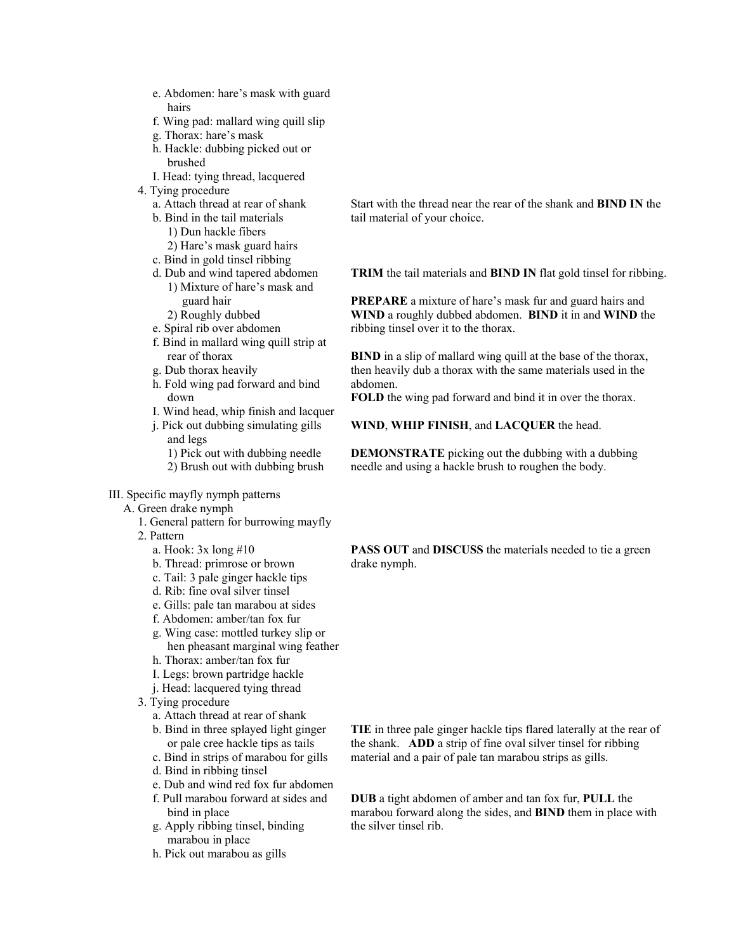- e. Abdomen: hare's mask with guard hairs
- f. Wing pad: mallard wing quill slip
- g. Thorax: hare's mask
- h. Hackle: dubbing picked out or brushed
- I. Head: tying thread, lacquered
- 4. Tying procedure
	- a. Attach thread at rear of shank
	- b. Bind in the tail materials 1) Dun hackle fibers 2) Hare's mask guard hairs
	- c. Bind in gold tinsel ribbing
	- d. Dub and wind tapered abdomen
		- 1) Mixture of hare's mask and guard hair
		- 2) Roughly dubbed
	- e. Spiral rib over abdomen
	- f. Bind in mallard wing quill strip at rear of thorax
	- g. Dub thorax heavily
	- h. Fold wing pad forward and bind down
	- I. Wind head, whip finish and lacquer
	- j. Pick out dubbing simulating gills and legs 1) Pick out with dubbing needle 2) Brush out with dubbing brush
- III. Specific mayfly nymph patterns
	- A. Green drake nymph
		- 1. General pattern for burrowing mayfly
		- 2. Pattern
			- a. Hook: 3x long #10
			- b. Thread: primrose or brown
			- c. Tail: 3 pale ginger hackle tips
			- d. Rib: fine oval silver tinsel
			- e. Gills: pale tan marabou at sides
			- f. Abdomen: amber/tan fox fur
			- g. Wing case: mottled turkey slip or hen pheasant marginal wing feather
			- h. Thorax: amber/tan fox fur
			- I. Legs: brown partridge hackle
			- j. Head: lacquered tying thread
		- 3. Tying procedure
			- a. Attach thread at rear of shank
			- b. Bind in three splayed light ginger or pale cree hackle tips as tails
			- c. Bind in strips of marabou for gills
			- d. Bind in ribbing tinsel
			- e. Dub and wind red fox fur abdomen
			- f. Pull marabou forward at sides and bind in place
			- g. Apply ribbing tinsel, binding marabou in place
			- h. Pick out marabou as gills

Start with the thread near the rear of the shank and **BIND IN** the tail material of your choice.

**TRIM** the tail materials and **BIND IN** flat gold tinsel for ribbing.

**PREPARE** a mixture of hare's mask fur and guard hairs and **WIND** a roughly dubbed abdomen. **BIND** it in and **WIND** the ribbing tinsel over it to the thorax.

**BIND** in a slip of mallard wing quill at the base of the thorax, then heavily dub a thorax with the same materials used in the abdomen.

**FOLD** the wing pad forward and bind it in over the thorax.

#### **WIND**, **WHIP FINISH**, and **LACQUER** the head.

**DEMONSTRATE** picking out the dubbing with a dubbing needle and using a hackle brush to roughen the body.

**PASS OUT** and **DISCUSS** the materials needed to tie a green drake nymph.

**TIE** in three pale ginger hackle tips flared laterally at the rear of the shank. **ADD** a strip of fine oval silver tinsel for ribbing material and a pair of pale tan marabou strips as gills.

**DUB** a tight abdomen of amber and tan fox fur, **PULL** the marabou forward along the sides, and **BIND** them in place with the silver tinsel rib.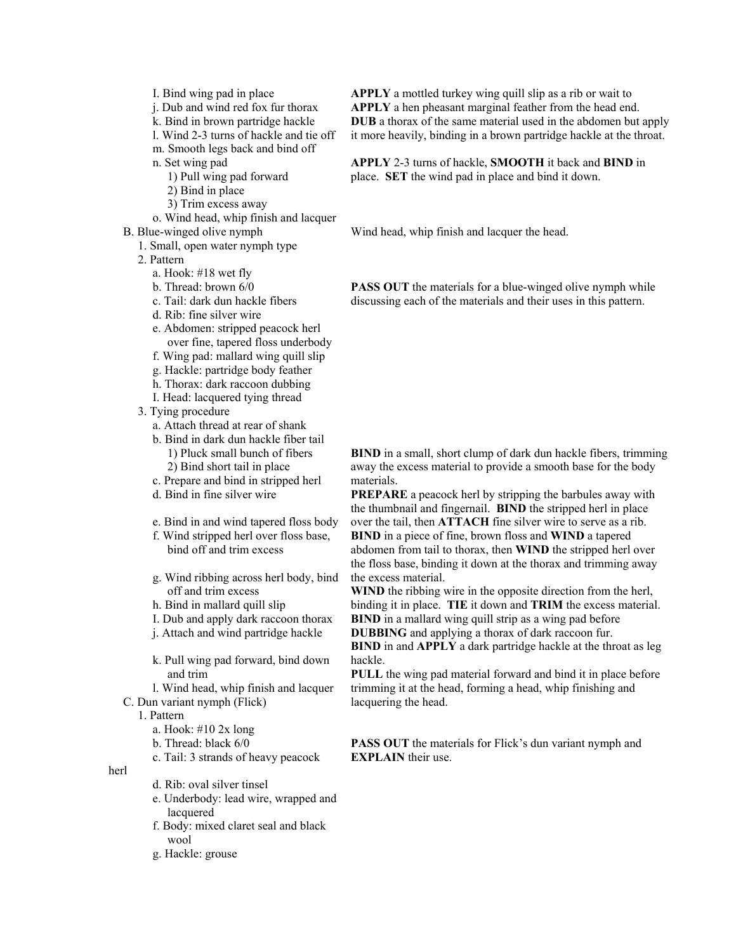- I. Bind wing pad in place
- j. Dub and wind red fox fur thorax
- k. Bind in brown partridge hackle
- l. Wind 2-3 turns of hackle and tie off
- m. Smooth legs back and bind off
- n. Set wing pad
	- 1) Pull wing pad forward
	- 2) Bind in place
	- 3) Trim excess away
- o. Wind head, whip finish and lacquer
- B. Blue-winged olive nymph
	- 1. Small, open water nymph type
	- 2. Pattern
		- a. Hook: #18 wet fly
		- b. Thread: brown 6/0
		- c. Tail: dark dun hackle fibers
		- d. Rib: fine silver wire
		- e. Abdomen: stripped peacock herl over fine, tapered floss underbody
		- f. Wing pad: mallard wing quill slip
		- g. Hackle: partridge body feather
		- h. Thorax: dark raccoon dubbing
		- I. Head: lacquered tying thread
	- 3. Tying procedure
		- a. Attach thread at rear of shank
		- b. Bind in dark dun hackle fiber tail 1) Pluck small bunch of fibers 2) Bind short tail in place
		- c. Prepare and bind in stripped herl
		- d. Bind in fine silver wire
		- e. Bind in and wind tapered floss body
		- f. Wind stripped herl over floss base, bind off and trim excess
		- g. Wind ribbing across herl body, bind off and trim excess
		- h. Bind in mallard quill slip
		- I. Dub and apply dark raccoon thorax
		- j. Attach and wind partridge hackle
		- k. Pull wing pad forward, bind down and trim
- l. Wind head, whip finish and lacquer C. Dun variant nymph (Flick)

1. Pattern

herl

- a. Hook: #10 2x long
- b. Thread: black 6/0
- c. Tail: 3 strands of heavy peacock
- d. Rib: oval silver tinsel
	- e. Underbody: lead wire, wrapped and lacquered
	- f. Body: mixed claret seal and black wool
	- g. Hackle: grouse

**APPLY** a mottled turkey wing quill slip as a rib or wait to **APPLY** a hen pheasant marginal feather from the head end. **DUB** a thorax of the same material used in the abdomen but apply it more heavily, binding in a brown partridge hackle at the throat.

**APPLY** 2-3 turns of hackle, **SMOOTH** it back and **BIND** in place. **SET** the wind pad in place and bind it down.

Wind head, whip finish and lacquer the head.

**PASS OUT** the materials for a blue-winged olive nymph while discussing each of the materials and their uses in this pattern.

**BIND** in a small, short clump of dark dun hackle fibers, trimming away the excess material to provide a smooth base for the body materials.

**PREPARE** a peacock herl by stripping the barbules away with the thumbnail and fingernail. **BIND** the stripped herl in place over the tail, then **ATTACH** fine silver wire to serve as a rib. **BIND** in a piece of fine, brown floss and **WIND** a tapered abdomen from tail to thorax, then **WIND** the stripped herl over the floss base, binding it down at the thorax and trimming away the excess material.

**WIND** the ribbing wire in the opposite direction from the herl, binding it in place. **TIE** it down and **TRIM** the excess material. **BIND** in a mallard wing quill strip as a wing pad before **DUBBING** and applying a thorax of dark raccoon fur.

**BIND** in and **APPLY** a dark partridge hackle at the throat as leg hackle.

**PULL** the wing pad material forward and bind it in place before trimming it at the head, forming a head, whip finishing and lacquering the head.

**PASS OUT** the materials for Flick's dun variant nymph and **EXPLAIN** their use.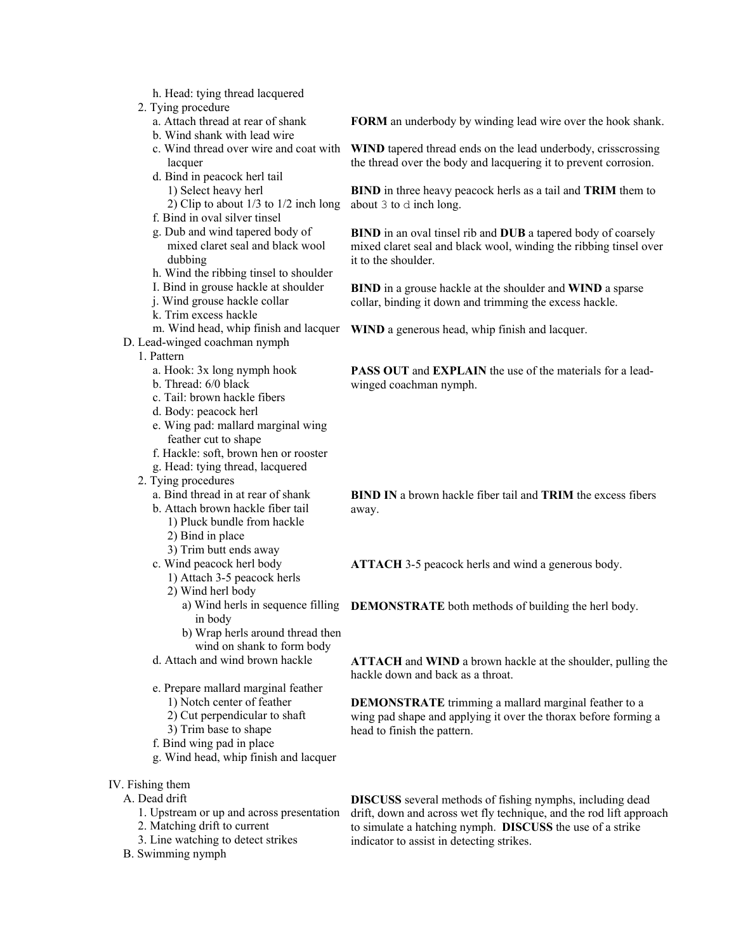- h. Head: tying thread lacquered
- 2. Tying procedure
	- a. Attach thread at rear of shank
	- b. Wind shank with lead wire
	- c. Wind thread over wire and coat with lacquer
	- d. Bind in peacock herl tail 1) Select heavy herl
		- 2) Clip to about 1/3 to 1/2 inch long
	- f. Bind in oval silver tinsel
	- g. Dub and wind tapered body of mixed claret seal and black wool dubbing
	- h. Wind the ribbing tinsel to shoulder
	- I. Bind in grouse hackle at shoulder
	- j. Wind grouse hackle collar
	- k. Trim excess hackle
	- m. Wind head, whip finish and lacquer
- D. Lead-winged coachman nymph
	- 1. Pattern
		- a. Hook: 3x long nymph hook
		- b. Thread: 6/0 black
		- c. Tail: brown hackle fibers
		- d. Body: peacock herl
		- e. Wing pad: mallard marginal wing feather cut to shape
		- f. Hackle: soft, brown hen or rooster
		- g. Head: tying thread, lacquered
	- 2. Tying procedures
		- a. Bind thread in at rear of shank
		- b. Attach brown hackle fiber tail
			- 1) Pluck bundle from hackle 2) Bind in place
			- 3) Trim butt ends away
		- c. Wind peacock herl body
			- 1) Attach 3-5 peacock herls
			- 2) Wind herl body
				- in body
				- b) Wrap herls around thread then wind on shank to form body
		- d. Attach and wind brown hackle
		- e. Prepare mallard marginal feather 1) Notch center of feather
			- 2) Cut perpendicular to shaft
			- 3) Trim base to shape
		- f. Bind wing pad in place
		- g. Wind head, whip finish and lacquer
- IV. Fishing them
	- A. Dead drift
		- 1. Upstream or up and across presentation
		- 2. Matching drift to current
		- 3. Line watching to detect strikes
	- B. Swimming nymph

**FORM** an underbody by winding lead wire over the hook shank.

**WIND** tapered thread ends on the lead underbody, crisscrossing the thread over the body and lacquering it to prevent corrosion.

**BIND** in three heavy peacock herls as a tail and **TRIM** them to about 3 to d inch long.

**BIND** in an oval tinsel rib and **DUB** a tapered body of coarsely mixed claret seal and black wool, winding the ribbing tinsel over it to the shoulder.

**BIND** in a grouse hackle at the shoulder and **WIND** a sparse collar, binding it down and trimming the excess hackle.

**WIND** a generous head, whip finish and lacquer.

**PASS OUT** and **EXPLAIN** the use of the materials for a leadwinged coachman nymph.

**BIND IN** a brown hackle fiber tail and **TRIM** the excess fibers away.

**ATTACH** 3-5 peacock herls and wind a generous body.

a) Wind herls in sequence filling **DEMONSTRATE** both methods of building the herl body.

**ATTACH** and **WIND** a brown hackle at the shoulder, pulling the hackle down and back as a throat.

**DEMONSTRATE** trimming a mallard marginal feather to a wing pad shape and applying it over the thorax before forming a head to finish the pattern.

**DISCUSS** several methods of fishing nymphs, including dead drift, down and across wet fly technique, and the rod lift approach to simulate a hatching nymph. **DISCUSS** the use of a strike indicator to assist in detecting strikes.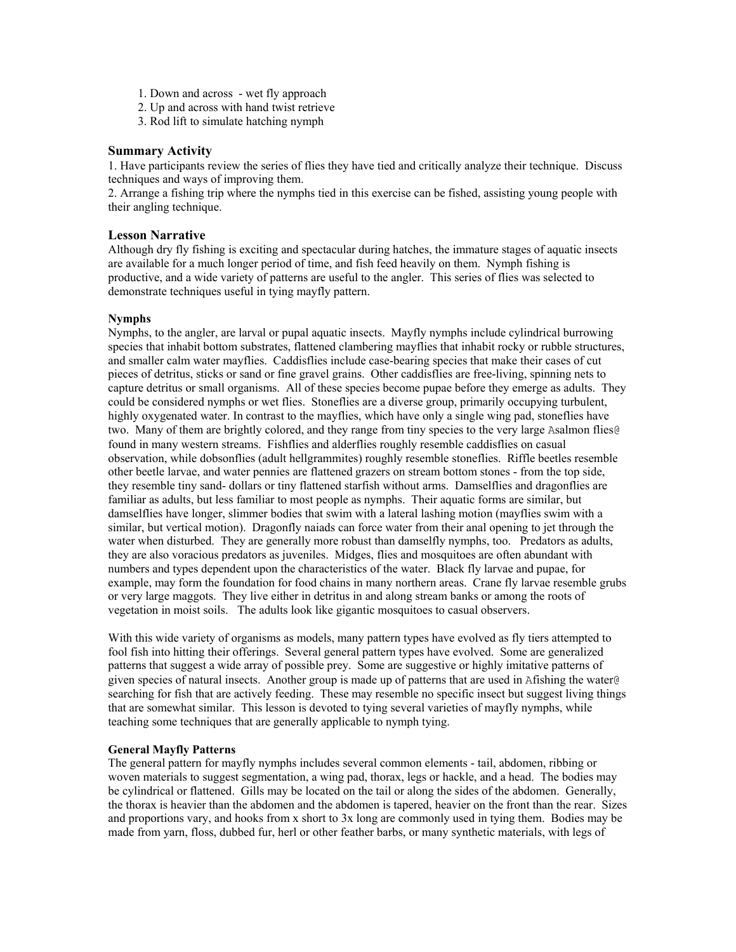- 1. Down and across wet fly approach
- 2. Up and across with hand twist retrieve
- 3. Rod lift to simulate hatching nymph

### **Summary Activity**

1. Have participants review the series of flies they have tied and critically analyze their technique. Discuss techniques and ways of improving them.

2. Arrange a fishing trip where the nymphs tied in this exercise can be fished, assisting young people with their angling technique.

### **Lesson Narrative**

Although dry fly fishing is exciting and spectacular during hatches, the immature stages of aquatic insects are available for a much longer period of time, and fish feed heavily on them. Nymph fishing is productive, and a wide variety of patterns are useful to the angler. This series of flies was selected to demonstrate techniques useful in tying mayfly pattern.

# **Nymphs**

Nymphs, to the angler, are larval or pupal aquatic insects. Mayfly nymphs include cylindrical burrowing species that inhabit bottom substrates, flattened clambering mayflies that inhabit rocky or rubble structures, and smaller calm water mayflies. Caddisflies include case-bearing species that make their cases of cut pieces of detritus, sticks or sand or fine gravel grains. Other caddisflies are free-living, spinning nets to capture detritus or small organisms. All of these species become pupae before they emerge as adults. They could be considered nymphs or wet flies. Stoneflies are a diverse group, primarily occupying turbulent, highly oxygenated water. In contrast to the mayflies, which have only a single wing pad, stoneflies have two. Many of them are brightly colored, and they range from tiny species to the very large Asalmon flies@ found in many western streams. Fishflies and alderflies roughly resemble caddisflies on casual observation, while dobsonflies (adult hellgrammites) roughly resemble stoneflies. Riffle beetles resemble other beetle larvae, and water pennies are flattened grazers on stream bottom stones - from the top side, they resemble tiny sand- dollars or tiny flattened starfish without arms. Damselflies and dragonflies are familiar as adults, but less familiar to most people as nymphs. Their aquatic forms are similar, but damselflies have longer, slimmer bodies that swim with a lateral lashing motion (mayflies swim with a similar, but vertical motion). Dragonfly naiads can force water from their anal opening to jet through the water when disturbed. They are generally more robust than damselfly nymphs, too. Predators as adults, they are also voracious predators as juveniles. Midges, flies and mosquitoes are often abundant with numbers and types dependent upon the characteristics of the water. Black fly larvae and pupae, for example, may form the foundation for food chains in many northern areas. Crane fly larvae resemble grubs or very large maggots. They live either in detritus in and along stream banks or among the roots of vegetation in moist soils. The adults look like gigantic mosquitoes to casual observers.

With this wide variety of organisms as models, many pattern types have evolved as fly tiers attempted to fool fish into hitting their offerings. Several general pattern types have evolved. Some are generalized patterns that suggest a wide array of possible prey. Some are suggestive or highly imitative patterns of given species of natural insects. Another group is made up of patterns that are used in Afishing the water@ searching for fish that are actively feeding. These may resemble no specific insect but suggest living things that are somewhat similar. This lesson is devoted to tying several varieties of mayfly nymphs, while teaching some techniques that are generally applicable to nymph tying.

### **General Mayfly Patterns**

The general pattern for mayfly nymphs includes several common elements - tail, abdomen, ribbing or woven materials to suggest segmentation, a wing pad, thorax, legs or hackle, and a head. The bodies may be cylindrical or flattened. Gills may be located on the tail or along the sides of the abdomen. Generally, the thorax is heavier than the abdomen and the abdomen is tapered, heavier on the front than the rear. Sizes and proportions vary, and hooks from x short to 3x long are commonly used in tying them. Bodies may be made from yarn, floss, dubbed fur, herl or other feather barbs, or many synthetic materials, with legs of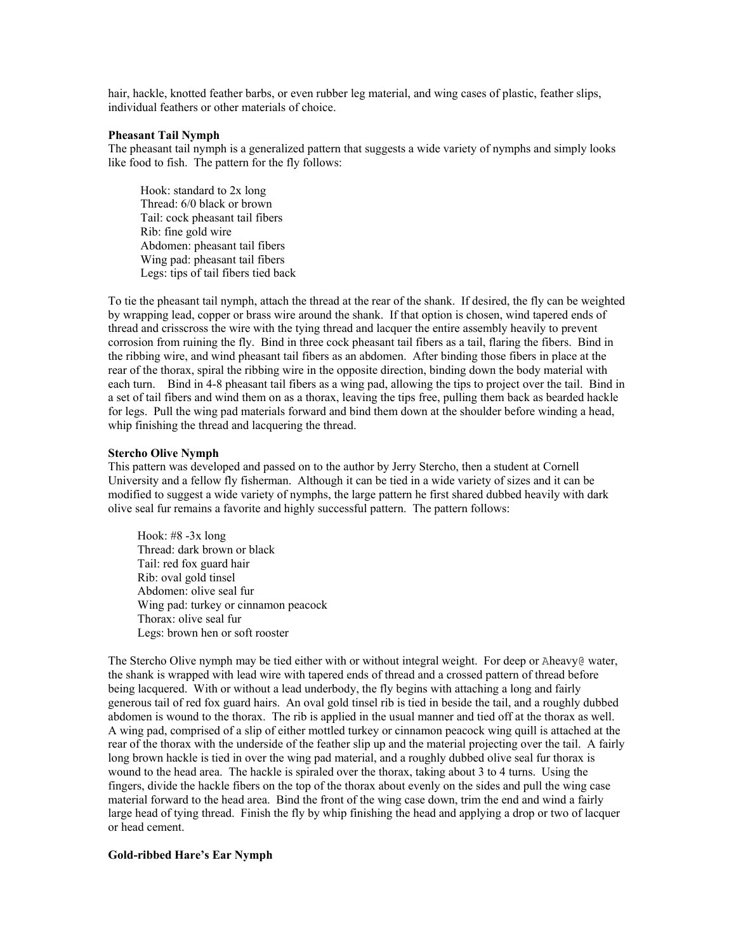hair, hackle, knotted feather barbs, or even rubber leg material, and wing cases of plastic, feather slips, individual feathers or other materials of choice.

#### **Pheasant Tail Nymph**

The pheasant tail nymph is a generalized pattern that suggests a wide variety of nymphs and simply looks like food to fish. The pattern for the fly follows:

 Hook: standard to 2x long Thread: 6/0 black or brown Tail: cock pheasant tail fibers Rib: fine gold wire Abdomen: pheasant tail fibers Wing pad: pheasant tail fibers Legs: tips of tail fibers tied back

To tie the pheasant tail nymph, attach the thread at the rear of the shank. If desired, the fly can be weighted by wrapping lead, copper or brass wire around the shank. If that option is chosen, wind tapered ends of thread and crisscross the wire with the tying thread and lacquer the entire assembly heavily to prevent corrosion from ruining the fly. Bind in three cock pheasant tail fibers as a tail, flaring the fibers. Bind in the ribbing wire, and wind pheasant tail fibers as an abdomen. After binding those fibers in place at the rear of the thorax, spiral the ribbing wire in the opposite direction, binding down the body material with each turn. Bind in 4-8 pheasant tail fibers as a wing pad, allowing the tips to project over the tail. Bind in a set of tail fibers and wind them on as a thorax, leaving the tips free, pulling them back as bearded hackle for legs. Pull the wing pad materials forward and bind them down at the shoulder before winding a head, whip finishing the thread and lacquering the thread.

#### **Stercho Olive Nymph**

This pattern was developed and passed on to the author by Jerry Stercho, then a student at Cornell University and a fellow fly fisherman. Although it can be tied in a wide variety of sizes and it can be modified to suggest a wide variety of nymphs, the large pattern he first shared dubbed heavily with dark olive seal fur remains a favorite and highly successful pattern. The pattern follows:

Hook:  $#8 - 3x$  long Thread: dark brown or black Tail: red fox guard hair Rib: oval gold tinsel Abdomen: olive seal fur Wing pad: turkey or cinnamon peacock Thorax: olive seal fur Legs: brown hen or soft rooster

The Stercho Olive nymph may be tied either with or without integral weight. For deep or Aheavy@ water, the shank is wrapped with lead wire with tapered ends of thread and a crossed pattern of thread before being lacquered. With or without a lead underbody, the fly begins with attaching a long and fairly generous tail of red fox guard hairs. An oval gold tinsel rib is tied in beside the tail, and a roughly dubbed abdomen is wound to the thorax. The rib is applied in the usual manner and tied off at the thorax as well. A wing pad, comprised of a slip of either mottled turkey or cinnamon peacock wing quill is attached at the rear of the thorax with the underside of the feather slip up and the material projecting over the tail. A fairly long brown hackle is tied in over the wing pad material, and a roughly dubbed olive seal fur thorax is wound to the head area. The hackle is spiraled over the thorax, taking about 3 to 4 turns. Using the fingers, divide the hackle fibers on the top of the thorax about evenly on the sides and pull the wing case material forward to the head area. Bind the front of the wing case down, trim the end and wind a fairly large head of tying thread. Finish the fly by whip finishing the head and applying a drop or two of lacquer or head cement.

#### **Gold-ribbed Hare's Ear Nymph**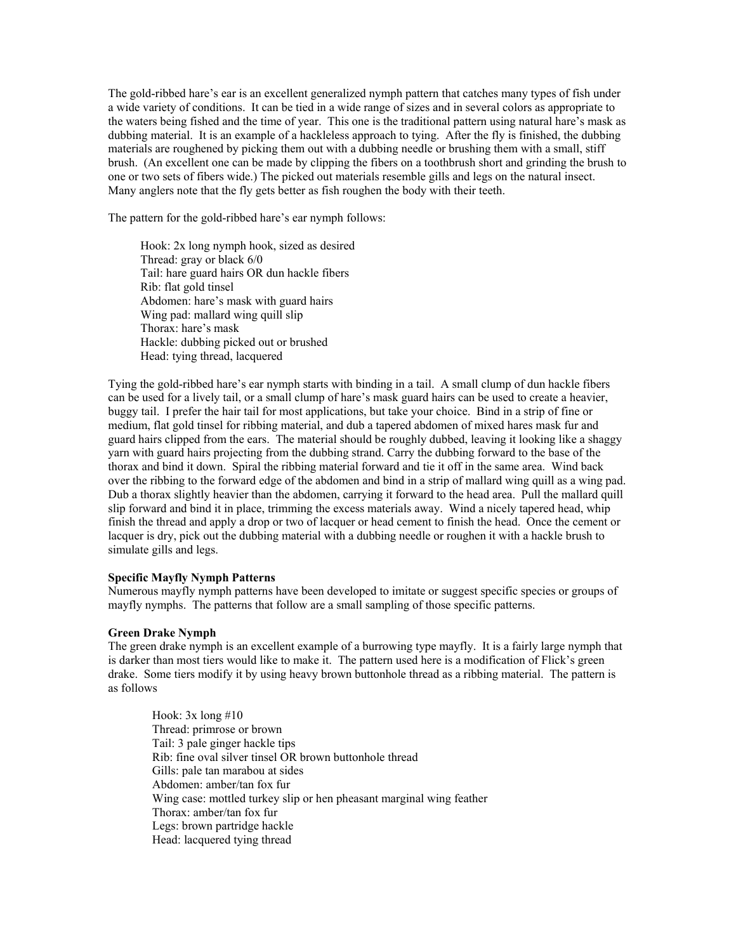The gold-ribbed hare's ear is an excellent generalized nymph pattern that catches many types of fish under a wide variety of conditions. It can be tied in a wide range of sizes and in several colors as appropriate to the waters being fished and the time of year. This one is the traditional pattern using natural hare's mask as dubbing material. It is an example of a hackleless approach to tying. After the fly is finished, the dubbing materials are roughened by picking them out with a dubbing needle or brushing them with a small, stiff brush. (An excellent one can be made by clipping the fibers on a toothbrush short and grinding the brush to one or two sets of fibers wide.) The picked out materials resemble gills and legs on the natural insect. Many anglers note that the fly gets better as fish roughen the body with their teeth.

The pattern for the gold-ribbed hare's ear nymph follows:

 Hook: 2x long nymph hook, sized as desired Thread: gray or black 6/0 Tail: hare guard hairs OR dun hackle fibers Rib: flat gold tinsel Abdomen: hare's mask with guard hairs Wing pad: mallard wing quill slip Thorax: hare's mask Hackle: dubbing picked out or brushed Head: tying thread, lacquered

Tying the gold-ribbed hare's ear nymph starts with binding in a tail. A small clump of dun hackle fibers can be used for a lively tail, or a small clump of hare's mask guard hairs can be used to create a heavier, buggy tail. I prefer the hair tail for most applications, but take your choice. Bind in a strip of fine or medium, flat gold tinsel for ribbing material, and dub a tapered abdomen of mixed hares mask fur and guard hairs clipped from the ears. The material should be roughly dubbed, leaving it looking like a shaggy yarn with guard hairs projecting from the dubbing strand. Carry the dubbing forward to the base of the thorax and bind it down. Spiral the ribbing material forward and tie it off in the same area. Wind back over the ribbing to the forward edge of the abdomen and bind in a strip of mallard wing quill as a wing pad. Dub a thorax slightly heavier than the abdomen, carrying it forward to the head area. Pull the mallard quill slip forward and bind it in place, trimming the excess materials away. Wind a nicely tapered head, whip finish the thread and apply a drop or two of lacquer or head cement to finish the head. Once the cement or lacquer is dry, pick out the dubbing material with a dubbing needle or roughen it with a hackle brush to simulate gills and legs.

#### **Specific Mayfly Nymph Patterns**

Numerous mayfly nymph patterns have been developed to imitate or suggest specific species or groups of mayfly nymphs. The patterns that follow are a small sampling of those specific patterns.

# **Green Drake Nymph**

The green drake nymph is an excellent example of a burrowing type mayfly. It is a fairly large nymph that is darker than most tiers would like to make it. The pattern used here is a modification of Flick's green drake. Some tiers modify it by using heavy brown buttonhole thread as a ribbing material. The pattern is as follows

Hook:  $3x \text{ long } \# 10$ Thread: primrose or brown Tail: 3 pale ginger hackle tips Rib: fine oval silver tinsel OR brown buttonhole thread Gills: pale tan marabou at sides Abdomen: amber/tan fox fur Wing case: mottled turkey slip or hen pheasant marginal wing feather Thorax: amber/tan fox fur Legs: brown partridge hackle Head: lacquered tying thread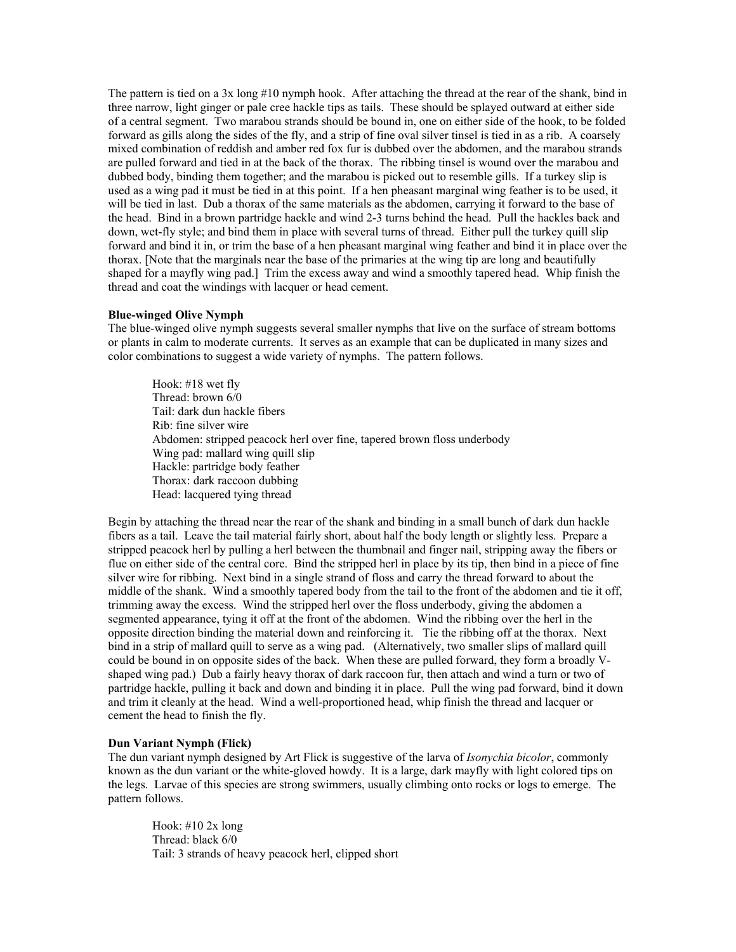The pattern is tied on a 3x long #10 nymph hook. After attaching the thread at the rear of the shank, bind in three narrow, light ginger or pale cree hackle tips as tails. These should be splayed outward at either side of a central segment. Two marabou strands should be bound in, one on either side of the hook, to be folded forward as gills along the sides of the fly, and a strip of fine oval silver tinsel is tied in as a rib. A coarsely mixed combination of reddish and amber red fox fur is dubbed over the abdomen, and the marabou strands are pulled forward and tied in at the back of the thorax. The ribbing tinsel is wound over the marabou and dubbed body, binding them together; and the marabou is picked out to resemble gills. If a turkey slip is used as a wing pad it must be tied in at this point. If a hen pheasant marginal wing feather is to be used, it will be tied in last. Dub a thorax of the same materials as the abdomen, carrying it forward to the base of the head. Bind in a brown partridge hackle and wind 2-3 turns behind the head. Pull the hackles back and down, wet-fly style; and bind them in place with several turns of thread. Either pull the turkey quill slip forward and bind it in, or trim the base of a hen pheasant marginal wing feather and bind it in place over the thorax. [Note that the marginals near the base of the primaries at the wing tip are long and beautifully shaped for a mayfly wing pad.] Trim the excess away and wind a smoothly tapered head. Whip finish the thread and coat the windings with lacquer or head cement.

### **Blue-winged Olive Nymph**

The blue-winged olive nymph suggests several smaller nymphs that live on the surface of stream bottoms or plants in calm to moderate currents. It serves as an example that can be duplicated in many sizes and color combinations to suggest a wide variety of nymphs. The pattern follows.

Hook: #18 wet fly Thread: brown 6/0 Tail: dark dun hackle fibers Rib: fine silver wire Abdomen: stripped peacock herl over fine, tapered brown floss underbody Wing pad: mallard wing quill slip Hackle: partridge body feather Thorax: dark raccoon dubbing Head: lacquered tying thread

Begin by attaching the thread near the rear of the shank and binding in a small bunch of dark dun hackle fibers as a tail. Leave the tail material fairly short, about half the body length or slightly less. Prepare a stripped peacock herl by pulling a herl between the thumbnail and finger nail, stripping away the fibers or flue on either side of the central core. Bind the stripped herl in place by its tip, then bind in a piece of fine silver wire for ribbing. Next bind in a single strand of floss and carry the thread forward to about the middle of the shank. Wind a smoothly tapered body from the tail to the front of the abdomen and tie it off, trimming away the excess. Wind the stripped herl over the floss underbody, giving the abdomen a segmented appearance, tying it off at the front of the abdomen. Wind the ribbing over the herl in the opposite direction binding the material down and reinforcing it. Tie the ribbing off at the thorax. Next bind in a strip of mallard quill to serve as a wing pad. (Alternatively, two smaller slips of mallard quill could be bound in on opposite sides of the back. When these are pulled forward, they form a broadly Vshaped wing pad.) Dub a fairly heavy thorax of dark raccoon fur, then attach and wind a turn or two of partridge hackle, pulling it back and down and binding it in place. Pull the wing pad forward, bind it down and trim it cleanly at the head. Wind a well-proportioned head, whip finish the thread and lacquer or cement the head to finish the fly.

#### **Dun Variant Nymph (Flick)**

The dun variant nymph designed by Art Flick is suggestive of the larva of *Isonychia bicolor*, commonly known as the dun variant or the white-gloved howdy. It is a large, dark mayfly with light colored tips on the legs. Larvae of this species are strong swimmers, usually climbing onto rocks or logs to emerge. The pattern follows.

Hook: #10 2x long Thread: black 6/0 Tail: 3 strands of heavy peacock herl, clipped short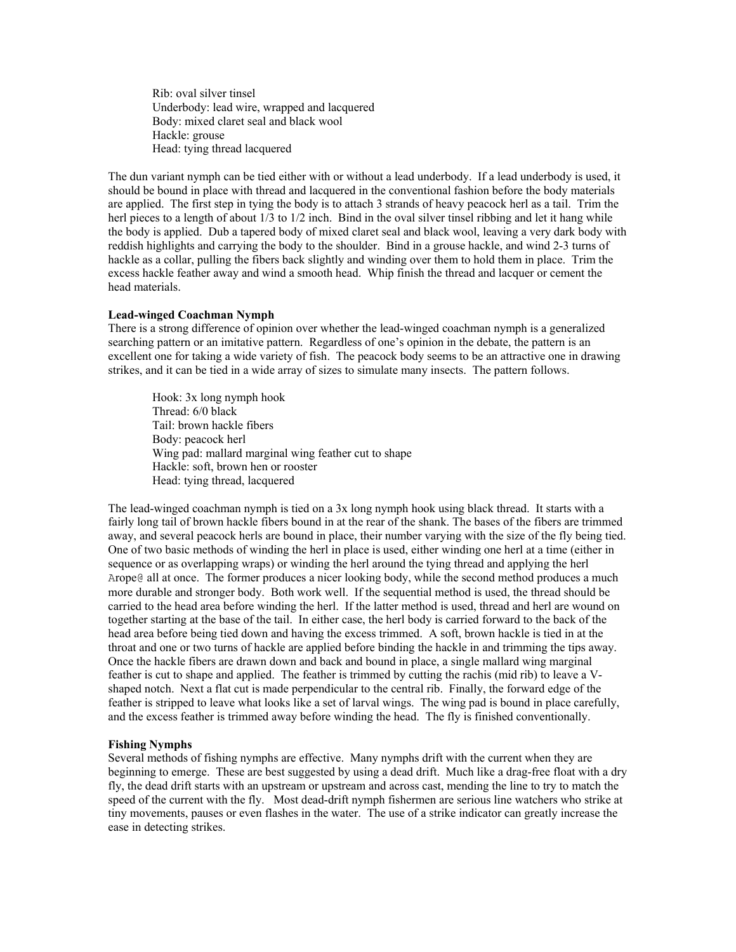Rib: oval silver tinsel Underbody: lead wire, wrapped and lacquered Body: mixed claret seal and black wool Hackle: grouse Head: tying thread lacquered

The dun variant nymph can be tied either with or without a lead underbody. If a lead underbody is used, it should be bound in place with thread and lacquered in the conventional fashion before the body materials are applied. The first step in tying the body is to attach 3 strands of heavy peacock herl as a tail. Trim the herl pieces to a length of about  $1/3$  to  $1/2$  inch. Bind in the oval silver tinsel ribbing and let it hang while the body is applied. Dub a tapered body of mixed claret seal and black wool, leaving a very dark body with reddish highlights and carrying the body to the shoulder. Bind in a grouse hackle, and wind 2-3 turns of hackle as a collar, pulling the fibers back slightly and winding over them to hold them in place. Trim the excess hackle feather away and wind a smooth head. Whip finish the thread and lacquer or cement the head materials.

#### **Lead-winged Coachman Nymph**

There is a strong difference of opinion over whether the lead-winged coachman nymph is a generalized searching pattern or an imitative pattern. Regardless of one's opinion in the debate, the pattern is an excellent one for taking a wide variety of fish. The peacock body seems to be an attractive one in drawing strikes, and it can be tied in a wide array of sizes to simulate many insects. The pattern follows.

Hook: 3x long nymph hook Thread: 6/0 black Tail: brown hackle fibers Body: peacock herl Wing pad: mallard marginal wing feather cut to shape Hackle: soft, brown hen or rooster Head: tying thread, lacquered

The lead-winged coachman nymph is tied on a 3x long nymph hook using black thread. It starts with a fairly long tail of brown hackle fibers bound in at the rear of the shank. The bases of the fibers are trimmed away, and several peacock herls are bound in place, their number varying with the size of the fly being tied. One of two basic methods of winding the herl in place is used, either winding one herl at a time (either in sequence or as overlapping wraps) or winding the herl around the tying thread and applying the herl Arope@ all at once. The former produces a nicer looking body, while the second method produces a much more durable and stronger body. Both work well. If the sequential method is used, the thread should be carried to the head area before winding the herl. If the latter method is used, thread and herl are wound on together starting at the base of the tail. In either case, the herl body is carried forward to the back of the head area before being tied down and having the excess trimmed. A soft, brown hackle is tied in at the throat and one or two turns of hackle are applied before binding the hackle in and trimming the tips away. Once the hackle fibers are drawn down and back and bound in place, a single mallard wing marginal feather is cut to shape and applied. The feather is trimmed by cutting the rachis (mid rib) to leave a Vshaped notch. Next a flat cut is made perpendicular to the central rib. Finally, the forward edge of the feather is stripped to leave what looks like a set of larval wings. The wing pad is bound in place carefully, and the excess feather is trimmed away before winding the head. The fly is finished conventionally.

#### **Fishing Nymphs**

Several methods of fishing nymphs are effective. Many nymphs drift with the current when they are beginning to emerge. These are best suggested by using a dead drift. Much like a drag-free float with a dry fly, the dead drift starts with an upstream or upstream and across cast, mending the line to try to match the speed of the current with the fly. Most dead-drift nymph fishermen are serious line watchers who strike at tiny movements, pauses or even flashes in the water. The use of a strike indicator can greatly increase the ease in detecting strikes.